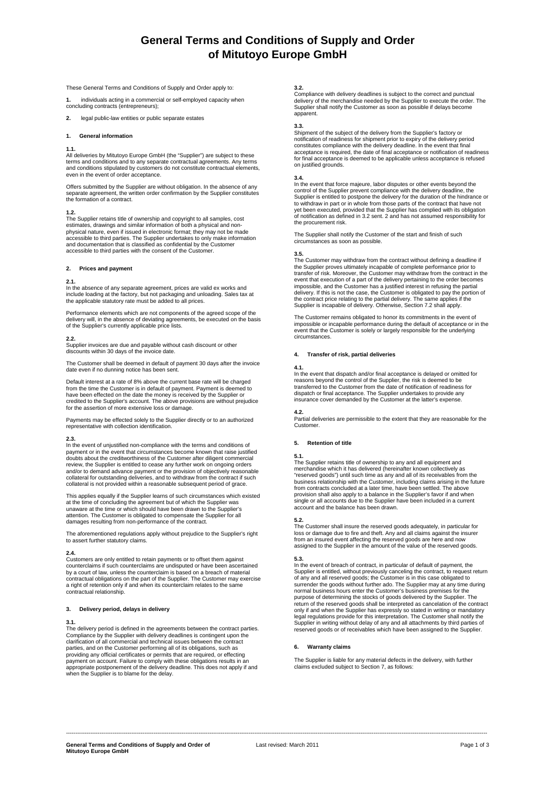# **General Terms and Conditions of Supply and Order of Mitutoyo Europe GmbH**

These General Terms and Conditions of Supply and Order apply to:

**1.** individuals acting in a commercial or self-employed capacity when concluding contracts (entrepreneurs);

**2.** legal public-law entities or public separate estates

### **1. General information**

**1.1.**<br>All deliveries by Mitutoyo Europe GmbH (the "Supplier") are subject to these terms and conditions and to any separate contractual agreements. Any terms and conditions stipulated by customers do not constitute contractual elements, even in the event of order acceptance.

Offers submitted by the Supplier are without obligation. In the absence of any separate agreement, the written order confirmation by the Supplier constitutes the formation of a contract.

**1.2.**<br>The Supplier retains title of ownership and copyright to all samples, cost<br>estimates, drawings and similar information of both a physical and nonphysical nature, even if issued in electronic format; they may not be made<br>accessible to third parties. The Supplier undertakes to only make information<br>and documentation that is classified as confidential by the Customer accessible to third parties with the consent of the Customer.

### **2. Prices and payment**

### **2.1.**

In the absence of any separate agreement, prices are valid ex works and include loading at the factory, but not packaging and unloading. Sales tax at the applicable statutory rate must be added to all prices.

Performance elements which are not components of the agreed scope of the delivery will, in the absence of deviating agreements, be executed on the basis of the Supplier's currently applicable price lists.

**2.2.**<br>Supplier invoices are due and payable without cash discount or other<br>discounts within 30 days of the invoice date.

The Customer shall be deemed in default of payment 30 days after the invoice date even if no dunning notice has been sent.

Default interest at a rate of 8% above the current base rate will be charged from the time the Customer is in default of payment. Payment is deemed to have been effected on the date the money is received by the Supplier or credited to the Supplier's account. The above provisions are without prejudice for the assertion of more extensive loss or damage.

Payments may be effected solely to the Supplier directly or to an authorized representative with collection identification.

**2.3.**  In the event of unjustified non-compliance with the terms and conditions of payment or in the event that circumstances become known that raise justified doubts about the creditworthiness of the Customer after diligent commercial review, the Supplier is entitled to cease any further work on ongoing orders<br>and/or to demand advance payment or the provision of objectively reasonable<br>collateral for outstanding deliveries, and to withdraw from the contr collateral is not provided within a reasonable subsequent period of grace.

This applies equally if the Supplier learns of such circumstances which existed<br>at the time of concluding the agreement but of which the Supplier was<br>unaware at the time or which should have been drawn to the Supplier's attention. The Customer is obligated to compensate the Supplier for all damages resulting from non-performance of the contract.

The aforementioned regulations apply without prejudice to the Supplier's right to assert further statutory claims.

**2.4.**<br>Customers are only entitled to retain payments or to offset them against<br>counterclaims if such counterclaims are undisputed or have been ascertained by a court of law, unless the counterclaim is based on a breach of material contractual obligations on the part of the Supplier. The Customer may exercise a right of retention only if and when its counterclaim relates to the same contractual relationship.

### **3. Delivery period, delays in delivery**

**3.1.**  The delivery period is defined in the agreements between the contract parties. Compliance by the Supplier with delivery deadlines is contingent upon the clarification of all commercial and technical issues between the contract parties, and on the Customer performing all of its obligations, such as<br>providing any official certificates or permits that are required, or effecting<br>payment on account. Failure to comply with these obligations results in appropriate postponement of the delivery deadline. This does not apply if and when the Supplier is to blame for the delay.

### **3.2.**

Compliance with delivery deadlines is subject to the correct and punctual delivery of the merchandise needed by the Supplier to execute the order. The Supplier shall notify the Customer as soon as possible if delays become apparent.

### **3.3.**

Shipment of the subject of the delivery from the Supplier's factory or notification of readiness for shipment prior to expiry of the delivery period constitutes compliance with the delivery deadline. In the event that final acceptance is required, the date of final acceptance or notification of readiness for final acceptance is deemed to be applicable unless acceptance is refused on justified grounds.

**3.4.**  In the event that force majeure, labor disputes or other events beyond the control of the Supplier prevent compliance with the delivery deadline, the Supplier is entitled to postpone the delivery for the duration of the hindrance or to withdraw in part or in whole from those parts of the contract that have not yet been executed, provided that the Supplier has complied with its obligation of notification as defined in 3.2 sent. 2 and has not assumed responsibility for the procurement risk.

The Supplier shall notify the Customer of the start and finish of such circumstances as soon as possible.

**3.5.**  The Customer may withdraw from the contract without defining a deadline if the Supplier proves ultimately incapable of complete performance prior to transfer of risk. Moreover, the Customer may withdraw from the contract in the event that execution of a part of the delivery pertaining to the order becomes impossible, and the Customer has a justified interest in refusing the partial delivery. If this is not the case, the Customer is obligated to pay the portion of the contract price relating to the partial delivery. The same applies if the Supplier is incapable of delivery. Otherwise, Section 7.2 shall apply.

The Customer remains obligated to honor its commitments in the event of impossible or incapable performance during the default of acceptance or in the event that the Customer is solely or largely responsible for the underlying circumstances.

### **4. Transfer of risk, partial deliveries**

**4.1.**<br>In the event that dispatch and/or final acceptance is delayed or omitted for<br>reasons beyond the control of the Supplier, the risk is deemed to be transferred to the Customer from the date of notification of readiness for dispatch or final acceptance. The Supplier undertakes to provide any insurance cover demanded by the Customer at the latter's expense.

**4.2.**  Partial deliveries are permissible to the extent that they are reasonable for the Customer.

### **5. Retention of title**

### **5.1.**

The Supplier retains title of ownership to any and all equipment and merchandise which it has delivered (hereinafter known collectively as "reserved goods") until such time as any and all of its receivables from the business relationship with the Customer, including claims arising in the future from contracts concluded at a later time, have been settled. The above provision shall also apply to a balance in the Supplier's favor if and when single or all accounts due to the Supplier have been included in a current account and the balance has been drawn.

**5.2.**  The Customer shall insure the reserved goods adequately, in particular for loss or damage due to fire and theft. Any and all claims against the insurer<br>from an insured event affecting the reserved goods are here and now<br>assigned to the Supplier in the amount of the value of the reserved goods.

**5.3.**<br>In the event of breach of contract, in particular of default of payment, the Supplier is entitled, without previously canceling the contract, to request return<br>of any and all reserved goods; the Customer is in this case obligated to<br>surrender the goods without further ado. The Supplier may at any t normal business hours enter the Customer's business premises for the purpose of determining the stocks of goods delivered by the Supplier. The return of the reserved goods shall be interpreted as cancelation of the contract<br>only if and when the Supplier has expressly so stated in writing or mandatory<br>legal regulations provide for this interpretation. The Customer

### **6. Warranty claims**

The Supplier is liable for any material defects in the delivery, with further claims excluded subject to Section 7, as follows:

----------------------------------------------------------------------------------------------------------------------------------------------------------------------------------------------------------------------------------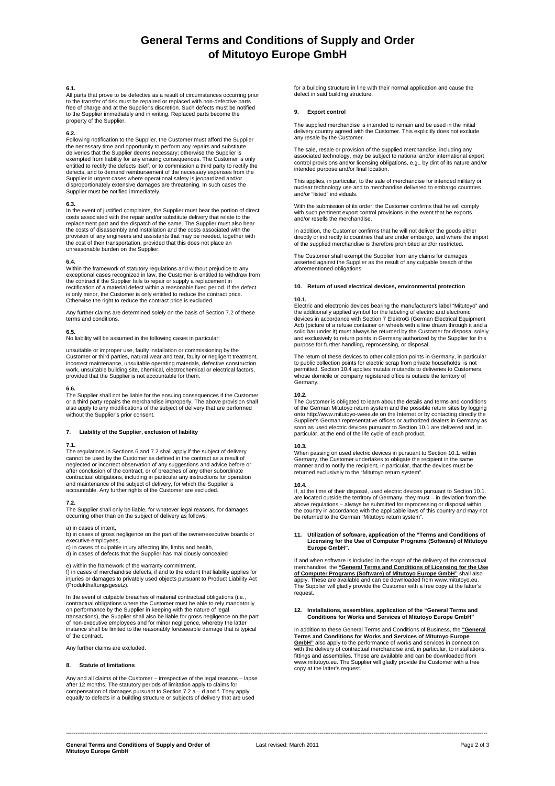# **General Terms and Conditions of Supply and Order of Mitutoyo Europe GmbH**

### **6.1.**

All parts that prove to be defective as a result of circumstances occurring prior to the transfer of risk must be repaired or replaced with non-defective parts free of charge and at the Supplier's discretion. Such defects must be notified to the Supplier immediately and in writing. Replaced parts become the property of the Supplier.

### **6.2.**

Following notification to the Supplier, the Customer must afford the Supplier the necessary time and opportunity to perform any repairs and substitute deliveries that the Supplier deems necessary; otherwise the Supplier is exempted from liability for any ensuing consequences. The Customer is only entitled to rectify the defects itself, or to commission a third party to rectify the defects, and to demand reimbursement of the necessary expenses from the Supplier in urgent cases where operational safety is jeopardized and/or disproportionately extensive damages are threatening. In such cases the Supplier must be notified immediately.

**6.3.**  In the event of justified complaints, the Supplier must bear the portion of direct costs associated with the repair and/or substitute delivery that relate to the replacement part and the dispatch of the same. The Supplier must also bear the costs of disassembly and installation and the costs associated with the provision of any engineers and assistants that may be needed, together with the cost of their transportation, provided that this does not place an unreasonable burden on the Supplier.

**6.4.**  Within the framework of statutory regulations and without prejudice to any exceptional cases recognized in law, the Customer is entitled to withdraw from the contract if the Supplier fails to repair or supply a replacement in rectification of a material defect within a reasonable fixed period. If the defect is only minor, the Customer is only entitled to reduce the contract price. Otherwise the right to reduce the contract price is excluded.

Any further claims are determined solely on the basis of Section 7.2 of these terms and conditions.

### **6.5.**

No liability will be assumed in the following cases in particular:

unsuitable or improper use, faulty installation or commissioning by the Customer or third parties, natural wear and tear, faulty or negligent treatment, incorrect maintenance, unsuitable operating materials, defective construction work, unsuitable building site, chemical, electrochemical or electrical factors, provided that the Supplier is not accountable for them.

### **6.6.**

The Supplier shall not be liable for the ensuing consequences if the Customer or a third party repairs the merchandise improperly. The above provision shall also apply to any modifications of the subject of delivery that are performed without the Supplier's prior consent.

### **7. Liability of the Supplier, exclusion of liability**

**7.1.**  The regulations in Sections 6 and 7.2 shall apply if the subject of delivery cannot be used by the Customer as defined in the contract as a result of neglected or incorrect observation of any suggestions and advice before or<br>after conclusion of the contract, or of breaches of any other subordinate<br>contractual obligations, including in particular any instructions for ope and maintenance of the subject of delivery, for which the Supplier is accountable. Any further rights of the Customer are excluded.

**7.2.**<br>The Supplier shall only be liable, for whatever legal reasons, for damages<br>occurring other than on the subject of delivery as follows:

### a) in cases of intent,

b) in cases of gross negligence on the part of the owner/executive boards or executive employees,

c) in cases of culpable injury affecting life, limbs and health, d) in cases of defects that the Supplier has maliciously concealed

e) within the framework of the warranty commitment, f) in cases of merchandise defects, if and to the extent that liability applies for injuries or damages to privately used objects pursuant to Product Liability Act (Produkthaftungsgesetz).

In the event of culpable breaches of material contractual obligations (i.e., contractual obligations where the Customer must be able to rely mandatorily<br>on performance by the Supplier in keeping with the nature of legal<br>transactions), the Supplier shall also be liable for gross negligence on the pa of the contract.

Any further claims are excluded.

### **8. Statute of limitations**

Any and all claims of the Customer – irrespective of the legal reasons – lapse<br>after 12 months. The statutory periods of limitation apply to claims for<br>compensation of damages pursuant to Section 7.2 a – d and f. They appl

for a building structure in line with their normal application and cause the defect in said building structure.

### **9. Export control**

The supplied merchandise is intended to remain and be used in the initial delivery country agreed with the Customer. This explicitly does not exclude any resale by the Customer.

The sale, resale or provision of the supplied merchandise, including any associated technology, may be subject to national and/or international export control provisions and/or licensing obligations, e.g., by dint of its nature and/or intended purpose and/or final location.

This applies, in particular, to the sale of merchandise for intended military or nuclear technology use and to merchandise delivered to embargo countries and/or "listed" individuals.

With the submission of its order, the Customer confirms that he will comply with such pertinent export control provisions in the event that he exports and/or resells the merchandise.

In addition, the Customer confirms that he will not deliver the goods either directly or indirectly to countries that are under embargo, and where the import of the supplied merchandise is therefore prohibited and/or restricted.

The Customer shall exempt the Supplier from any claims for damages asserted against the Supplier as the result of any culpable breach of the aforementioned obligations.

### **10. Return of used electrical devices, environmental protection**

### **10.1.**

Electric and electronic devices bearing the manufacturer's label "Mitutoyo" and<br>the additionally applied symbol for the labeling of electric and electronic<br>devices in accordance with Section 7 ElektroG (German Electrical E solid bar under it) must always be returned by the Customer for disposal solely and exclusively to return points in Germany authorized by the Supplier for this purpose for further handling, reprocessing, or disposal.

The return of these devices to other collection points in Germany, in particular to public collection points for electric scrap from private households, is not permitted. Section 10.4 applies mutatis mutandis to deliveries to Customers whose domicile or company registered office is outside the territory of Germany.

### **10.2.**

The Customer is obligated to learn about the details and terms and conditions of the German Mitutoyo return system and the possible return sites by logging onto http://www.mitutoyo-weee.de on the Internet or by contacting directly the Supplier's German representative offices or authorized dealers in Germany as soon as used electric devices pursuant to Section 10.1 are delivered and, in particular, at the end of the life cycle of each product.

### **10.3.**

When passing on used electric devices in pursuant to Section 10.1. within Germany, the Customer undertakes to obligate the recipient in the same manner and to notify the recipient, in particular, that the devices must be returned exclusively to the "Mitutoyo return system".

### **10.4.**

lf, at the time of their disposal, used electric devices pursuant to Section 10.1.<br>are located outside the territory of Germany, they must – in deviation from the<br>above regulations – always be submitted for reprocessing or the country in accordance with the applicable laws of this country and may not be returned to the German "Mitutoyo return system".

# **11. Utilization of software, application of the "Terms and Conditions of Licensing for the Use of Computer Programs (Software) of Mitutoyo Europe GmbH".**

If and when software is included in the scope of the delivery of the contractual merchandise, the **"General Terms and Conditions of Licensing for the Use of Computer Programs (Software) of Mitutoyo Europe GmbH"** shall also apply. These are available and can be downloaded from www.mitutoyo.eu. The Supplier will gladly provide the Customer with a free copy at the latter's request

# **12. Installations, assemblies, application of the "General Terms and Conditions for Works and Services of Mitutoyo Europe GmbH"**

In addition to these General Terms and Conditions of Business, the **"General Terms and Conditions for Works and Services of Mitutoyo Europe GmbH"** also apply to the performance of works and services in connection with the delivery of contractual merchandise and, in particular, to installations, fittings and assemblies. These are available and can be downloaded from www.mitutoyo.eu. The Supplier will gladly provide the Customer with a free copy at the latter's request.

----------------------------------------------------------------------------------------------------------------------------------------------------------------------------------------------------------------------------------